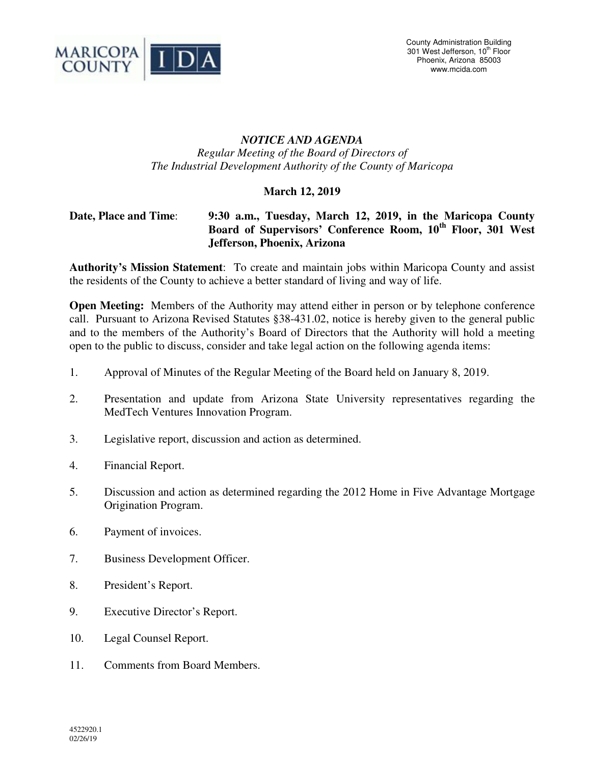

## *NOTICE AND AGENDA Regular Meeting of the Board of Directors of The Industrial Development Authority of the County of Maricopa*

## **March 12, 2019**

## **Date, Place and Time**: **9:30 a.m., Tuesday, March 12, 2019, in the Maricopa County Board of Supervisors' Conference Room, 10th Floor, 301 West Jefferson, Phoenix, Arizona**

**Authority's Mission Statement**: To create and maintain jobs within Maricopa County and assist the residents of the County to achieve a better standard of living and way of life.

**Open Meeting:** Members of the Authority may attend either in person or by telephone conference call. Pursuant to Arizona Revised Statutes §38-431.02, notice is hereby given to the general public and to the members of the Authority's Board of Directors that the Authority will hold a meeting open to the public to discuss, consider and take legal action on the following agenda items:

- 1. Approval of Minutes of the Regular Meeting of the Board held on January 8, 2019.
- 2. Presentation and update from Arizona State University representatives regarding the MedTech Ventures Innovation Program.
- 3. Legislative report, discussion and action as determined.
- 4. Financial Report.
- 5. Discussion and action as determined regarding the 2012 Home in Five Advantage Mortgage Origination Program.
- 6. Payment of invoices.
- 7. Business Development Officer.
- 8. President's Report.
- 9. Executive Director's Report.
- 10. Legal Counsel Report.
- 11. Comments from Board Members.